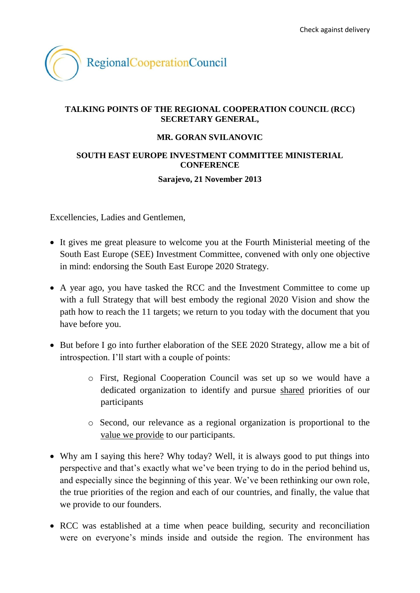

## **TALKING POINTS OF THE REGIONAL COOPERATION COUNCIL (RCC) SECRETARY GENERAL,**

### **MR. GORAN SVILANOVIC**

### **SOUTH EAST EUROPE INVESTMENT COMMITTEE MINISTERIAL CONFERENCE**

### **Sarajevo, 21 November 2013**

Excellencies, Ladies and Gentlemen,

- It gives me great pleasure to welcome you at the Fourth Ministerial meeting of the South East Europe (SEE) Investment Committee, convened with only one objective in mind: endorsing the South East Europe 2020 Strategy.
- A year ago, you have tasked the RCC and the Investment Committee to come up with a full Strategy that will best embody the regional 2020 Vision and show the path how to reach the 11 targets; we return to you today with the document that you have before you.
- But before I go into further elaboration of the SEE 2020 Strategy, allow me a bit of introspection. I'll start with a couple of points:
	- o First, Regional Cooperation Council was set up so we would have a dedicated organization to identify and pursue shared priorities of our participants
	- o Second, our relevance as a regional organization is proportional to the value we provide to our participants.
- Why am I saying this here? Why today? Well, it is always good to put things into perspective and that's exactly what we've been trying to do in the period behind us, and especially since the beginning of this year. We've been rethinking our own role, the true priorities of the region and each of our countries, and finally, the value that we provide to our founders.
- RCC was established at a time when peace building, security and reconciliation were on everyone's minds inside and outside the region. The environment has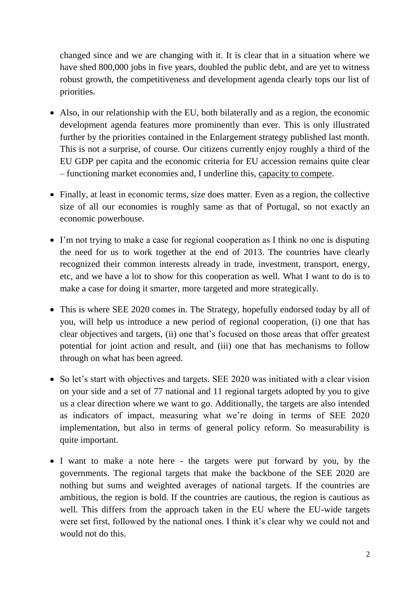changed since and we are changing with it. It is clear that in a situation where we have shed 800,000 jobs in five years, doubled the public debt, and are yet to witness robust growth, the competitiveness and development agenda clearly tops our list of priorities.

- Also, in our relationship with the EU, both bilaterally and as a region, the economic development agenda features more prominently than ever. This is only illustrated further by the priorities contained in the Enlargement strategy published last month. This is not a surprise, of course. Our citizens currently enjoy roughly a third of the EU GDP per capita and the economic criteria for EU accession remains quite clear – functioning market economies and, I underline this, capacity to compete.
- Finally, at least in economic terms, size does matter. Even as a region, the collective size of all our economies is roughly same as that of Portugal, so not exactly an economic powerhouse.
- I'm not trying to make a case for regional cooperation as I think no one is disputing the need for us to work together at the end of 2013. The countries have clearly recognized their common interests already in trade, investment, transport, energy, etc, and we have a lot to show for this cooperation as well. What I want to do is to make a case for doing it smarter, more targeted and more strategically.
- This is where SEE 2020 comes in. The Strategy, hopefully endorsed today by all of you, will help us introduce a new period of regional cooperation, (i) one that has clear objectives and targets, (ii) one that's focused on those areas that offer greatest potential for joint action and result, and (iii) one that has mechanisms to follow through on what has been agreed.
- So let's start with objectives and targets. SEE 2020 was initiated with a clear vision on your side and a set of 77 national and 11 regional targets adopted by you to give us a clear direction where we want to go. Additionally, the targets are also intended as indicators of impact, measuring what we're doing in terms of SEE 2020 implementation, but also in terms of general policy reform. So measurability is quite important.
- I want to make a note here the targets were put forward by you, by the governments. The regional targets that make the backbone of the SEE 2020 are nothing but sums and weighted averages of national targets. If the countries are ambitious, the region is bold. If the countries are cautious, the region is cautious as well. This differs from the approach taken in the EU where the EU-wide targets were set first, followed by the national ones. I think it's clear why we could not and would not do this.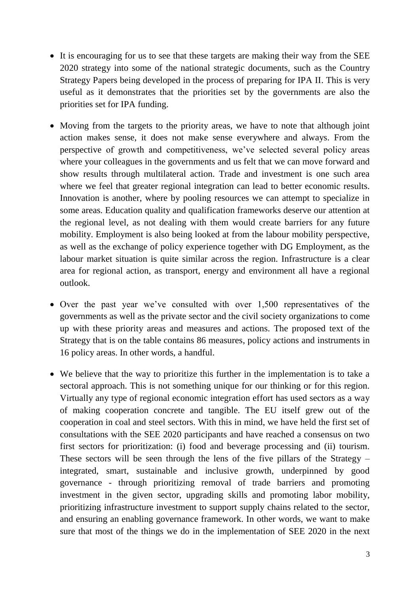- It is encouraging for us to see that these targets are making their way from the SEE 2020 strategy into some of the national strategic documents, such as the Country Strategy Papers being developed in the process of preparing for IPA II. This is very useful as it demonstrates that the priorities set by the governments are also the priorities set for IPA funding.
- Moving from the targets to the priority areas, we have to note that although joint action makes sense, it does not make sense everywhere and always. From the perspective of growth and competitiveness, we've selected several policy areas where your colleagues in the governments and us felt that we can move forward and show results through multilateral action. Trade and investment is one such area where we feel that greater regional integration can lead to better economic results. Innovation is another, where by pooling resources we can attempt to specialize in some areas. Education quality and qualification frameworks deserve our attention at the regional level, as not dealing with them would create barriers for any future mobility. Employment is also being looked at from the labour mobility perspective, as well as the exchange of policy experience together with DG Employment, as the labour market situation is quite similar across the region. Infrastructure is a clear area for regional action, as transport, energy and environment all have a regional outlook.
- Over the past year we've consulted with over 1,500 representatives of the governments as well as the private sector and the civil society organizations to come up with these priority areas and measures and actions. The proposed text of the Strategy that is on the table contains 86 measures, policy actions and instruments in 16 policy areas. In other words, a handful.
- We believe that the way to prioritize this further in the implementation is to take a sectoral approach. This is not something unique for our thinking or for this region. Virtually any type of regional economic integration effort has used sectors as a way of making cooperation concrete and tangible. The EU itself grew out of the cooperation in coal and steel sectors. With this in mind, we have held the first set of consultations with the SEE 2020 participants and have reached a consensus on two first sectors for prioritization: (i) food and beverage processing and (ii) tourism. These sectors will be seen through the lens of the five pillars of the Strategy – integrated, smart, sustainable and inclusive growth, underpinned by good governance - through prioritizing removal of trade barriers and promoting investment in the given sector, upgrading skills and promoting labor mobility, prioritizing infrastructure investment to support supply chains related to the sector, and ensuring an enabling governance framework. In other words, we want to make sure that most of the things we do in the implementation of SEE 2020 in the next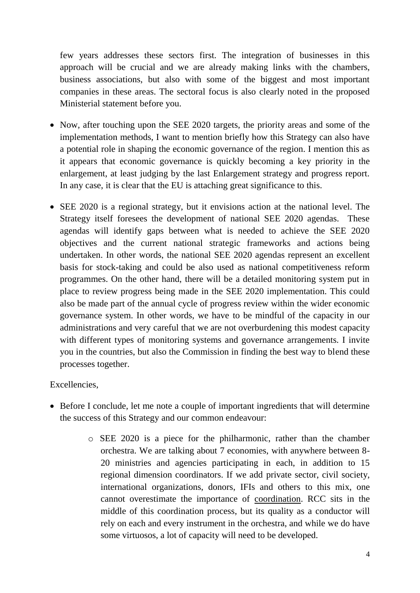few years addresses these sectors first. The integration of businesses in this approach will be crucial and we are already making links with the chambers, business associations, but also with some of the biggest and most important companies in these areas. The sectoral focus is also clearly noted in the proposed Ministerial statement before you.

- Now, after touching upon the SEE 2020 targets, the priority areas and some of the implementation methods, I want to mention briefly how this Strategy can also have a potential role in shaping the economic governance of the region. I mention this as it appears that economic governance is quickly becoming a key priority in the enlargement, at least judging by the last Enlargement strategy and progress report. In any case, it is clear that the EU is attaching great significance to this.
- SEE 2020 is a regional strategy, but it envisions action at the national level. The Strategy itself foresees the development of national SEE 2020 agendas. These agendas will identify gaps between what is needed to achieve the SEE 2020 objectives and the current national strategic frameworks and actions being undertaken. In other words, the national SEE 2020 agendas represent an excellent basis for stock-taking and could be also used as national competitiveness reform programmes. On the other hand, there will be a detailed monitoring system put in place to review progress being made in the SEE 2020 implementation. This could also be made part of the annual cycle of progress review within the wider economic governance system. In other words, we have to be mindful of the capacity in our administrations and very careful that we are not overburdening this modest capacity with different types of monitoring systems and governance arrangements. I invite you in the countries, but also the Commission in finding the best way to blend these processes together.

# Excellencies,

- Before I conclude, let me note a couple of important ingredients that will determine the success of this Strategy and our common endeavour:
	- o SEE 2020 is a piece for the philharmonic, rather than the chamber orchestra. We are talking about 7 economies, with anywhere between 8- 20 ministries and agencies participating in each, in addition to 15 regional dimension coordinators. If we add private sector, civil society, international organizations, donors, IFIs and others to this mix, one cannot overestimate the importance of coordination. RCC sits in the middle of this coordination process, but its quality as a conductor will rely on each and every instrument in the orchestra, and while we do have some virtuosos, a lot of capacity will need to be developed.